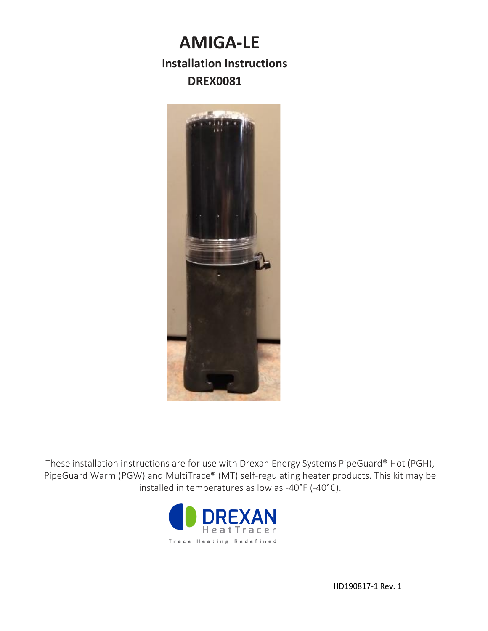# **AMIGA-LE**

## **Installation Instructions DREX0081**



These installation instructions are for use with Drexan Energy Systems PipeGuard® Hot (PGH), PipeGuard Warm (PGW) and MultiTrace® (MT) self-regulating heater products. This kit may be installed in temperatures as low as -40°F (-40°C).

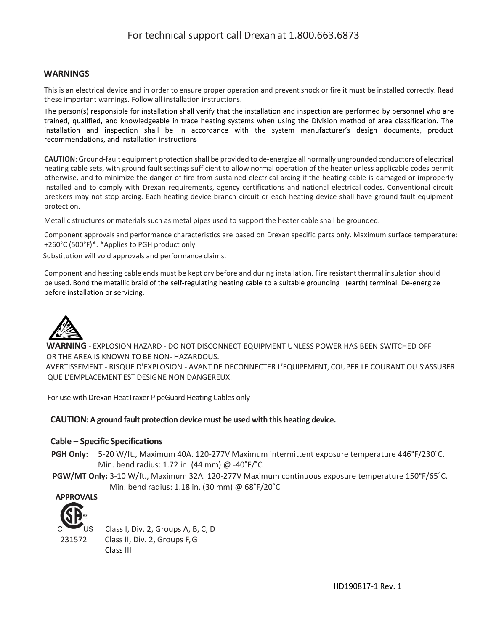## For technical support call Drexan at 1.800.663.6873

#### **WARNINGS**

This is an electrical device and in order to ensure proper operation and prevent shock or fire it must be installed correctly. Read these important warnings. Follow all installation instructions.

The person(s) responsible for installation shall verify that the installation and inspection are performed by personnel who are trained, qualified, and knowledgeable in trace heating systems when using the Division method of area classification. The installation and inspection shall be in accordance with the system manufacturer's design documents, product recommendations, and installation instructions

**CAUTION**: Ground-fault equipment protection shall be provided to de-energize all normally ungrounded conductors of electrical heating cable sets, with ground fault settings sufficient to allow normal operation of the heater unless applicable codes permit otherwise, and to minimize the danger of fire from sustained electrical arcing if the heating cable is damaged or improperly installed and to comply with Drexan requirements, agency certifications and national electrical codes. Conventional circuit breakers may not stop arcing. Each heating device branch circuit or each heating device shall have ground fault equipment protection.

Metallic structures or materials such as metal pipes used to support the heater cable shall be grounded.

Component approvals and performance characteristics are based on Drexan specific parts only. Maximum surface temperature: +260°C (500°F)\*. \*Applies to PGH product only

Substitution will void approvals and performance claims.

Component and heating cable ends must be kept dry before and during installation. Fire resistant thermal insulation should be used. Bond the metallic braid of the self-regulating heating cable to a suitable grounding (earth) terminal. De-energize before installation or servicing.



**WARNING** - EXPLOSION HAZARD - DO NOT DISCONNECT EQUIPMENT UNLESS POWER HAS BEEN SWITCHED OFF OR THE AREA IS KNOWN TO BE NON- HAZARDOUS. AVERTISSEMENT - RISQUE D'EXPLOSION - AVANT DE DECONNECTER L'EQUIPEMENT, COUPER LE COURANT OU S'ASSURER QUE L'EMPLACEMENT EST DESIGNE NON DANGEREUX.

For use with Drexan HeatTraxer PipeGuard Heating Cables only

#### **CAUTION: A ground fault protection device must be used with this heating device.**

#### **Cable – Specific Specifications**

- **PGH Only:** 5-20 W/ft., Maximum 40A. 120-277V Maximum intermittent exposure temperature 446°F/230˚C. Min. bend radius: 1.72 in. (44 mm) @ -40˚F/˚C
- **PGW/MT Only:** 3-10 W/ft., Maximum 32A. 120-277V Maximum continuous exposure temperature 150°F/65˚C. Min. bend radius: 1.18 in. (30 mm) @ 68˚F/20˚C



 Class I, Div. 2, Groups A, B, C, D 231572 Class II, Div. 2, Groups F, G Class III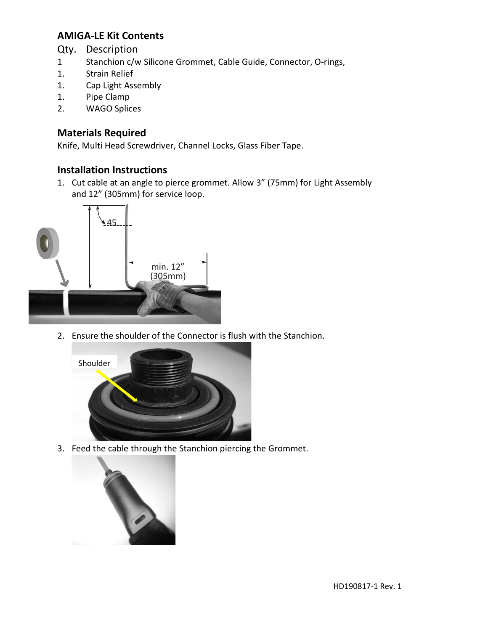## **AMIGA-LE Kit Contents**

Qty. Description

- 1 Stanchion c/w Silicone Grommet, Cable Guide, Connector, O-rings,
- 1. Strain Relief
- 1. Cap Light Assembly
- 1. Pipe Clamp
- 2. WAGO Splices

## **Materials Required**

Knife, Multi Head Screwdriver, Channel Locks, Glass Fiber Tape.

## **Installation Instructions**

1. Cut cable at an angle to pierce grommet. Allow 3" (75mm) for Light Assembly and 12" (305mm) for service loop.



2. Ensure the shoulder of the Connector is flush with the Stanchion.



3. Feed the cable through the Stanchion piercing the Grommet.

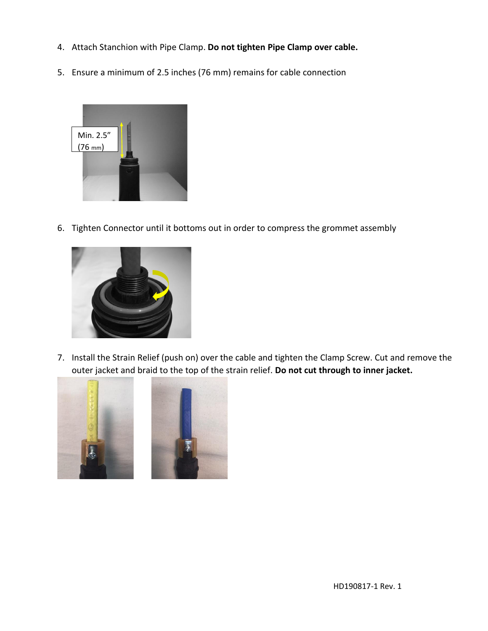- 4. Attach Stanchion with Pipe Clamp. **Do not tighten Pipe Clamp over cable.**
- 5. Ensure a minimum of 2.5 inches (76 mm) remains for cable connection



6. Tighten Connector until it bottoms out in order to compress the grommet assembly



7. Install the Strain Relief (push on) over the cable and tighten the Clamp Screw. Cut and remove the outer jacket and braid to the top of the strain relief. **Do not cut through to inner jacket.**